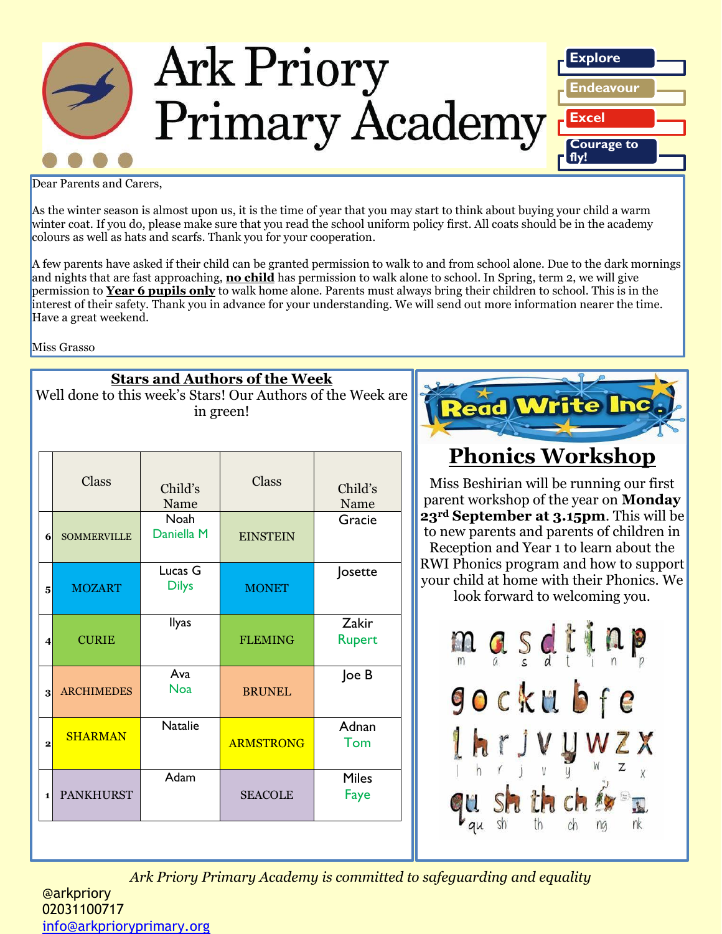

Dear Parents and Carers,

As the winter season is almost upon us, it is the time of year that you may start to think about buying your child a warm winter coat. If you do, please make sure that you read the school uniform policy first. All coats should be in the academy colours as well as hats and scarfs. Thank you for your cooperation.

A few parents have asked if their child can be granted permission to walk to and from school alone. Due to the dark mornings and nights that are fast approaching, **no child** has permission to walk alone to school. In Spring, term 2, we will give permission to **Year 6 pupils only** to walk home alone. Parents must always bring their children to school. This is in the interest of their safety. Thank you in advance for your understanding. We will send out more information nearer the time. Have a great weekend.

Miss Grasso

| <b>Stars and Authors of the Week</b><br>Well done to this week's Stars! Our Authors of the Week are<br>in green! |                                                                 |                  |                        |  |  |
|------------------------------------------------------------------------------------------------------------------|-----------------------------------------------------------------|------------------|------------------------|--|--|
| Class                                                                                                            | Child's<br>Name                                                 | Class            | Child's<br>Name        |  |  |
| <b>SOMMERVILLE</b>                                                                                               | Daniella M                                                      | <b>EINSTEIN</b>  | Gracie                 |  |  |
| <b>MOZART</b>                                                                                                    | Lucas G<br><b>Dilys</b>                                         | <b>MONET</b>     | Josette                |  |  |
| <b>CURIE</b>                                                                                                     | <b>Ilyas</b>                                                    | <b>FLEMING</b>   | Zakir<br><b>Rupert</b> |  |  |
| <b>ARCHIMEDES</b>                                                                                                | Ava<br><b>Noa</b>                                               | <b>BRUNEL</b>    | Joe B                  |  |  |
| <b>SHARMAN</b>                                                                                                   | <b>Natalie</b>                                                  | <b>ARMSTRONG</b> | Adnan<br>Tom           |  |  |
| <b>PANKHURST</b>                                                                                                 | Adam                                                            | <b>SEACOLE</b>   | <b>Miles</b><br>Faye   |  |  |
|                                                                                                                  | 6 <sup>1</sup><br>5<br>4<br>$\mathbf{3}$<br>$\overline{2}$<br>1 | <b>Noah</b>      |                        |  |  |



# **Phonics Workshop**

Miss Beshirian will be running our first parent workshop of the year on **Monday 23rd September at 3.15pm**. This will be to new parents and parents of children in Reception and Year 1 to learn about the RWI Phonics program and how to support your child at home with their Phonics. We look forward to welcoming you.



*Ark Priory Primary Academy is committed to safeguarding and equality* 

@arkpriory 02031100717 [info@arkprioryprimary.org](mailto:info@arkprioryprimary.org)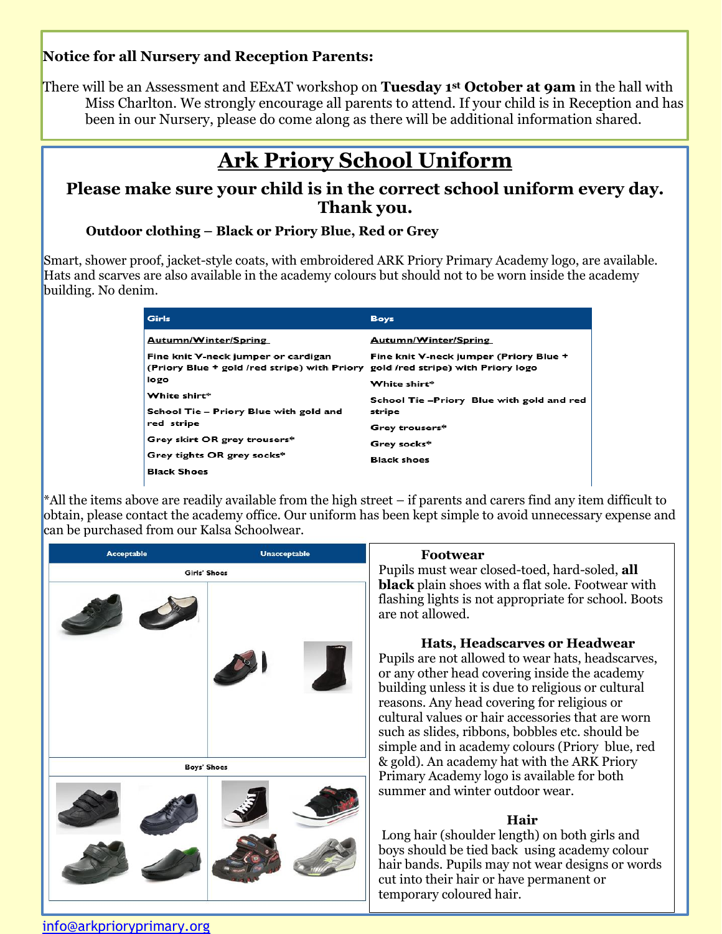### **Notice for all Nursery and Reception Parents:**

There will be an Assessment and EExAT workshop on **Tuesday 1st October at 9am** in the hall with Miss Charlton. We strongly encourage all parents to attend. If your child is in Reception and has been in our Nursery, please do come along as there will be additional information shared.

# **Ark Priory School Uniform**

### **Please make sure your child is in the correct school uniform every day. Thank you.**

#### 9. **Outdoor clothing – Black or Priory Blue, Red or Grey**

Smart, shower proof, jacket-style coats, with embroidered ARK Priory Primary Academy logo, are available. Hats and scarves are also available in the academy colours but should not to be worn inside the academy building. No denim.

| Girls                                                                                                                  | <b>Boys</b>                               |
|------------------------------------------------------------------------------------------------------------------------|-------------------------------------------|
| Autumn/Winter/Spring                                                                                                   | Autumn/Winter/Spring                      |
| Fine knit V-neck jumper or cardigan<br>(Priory Blue + gold /red stripe) with Priory gold /red stripe) with Priory logo | Fine knit V-neck jumper (Priory Blue +    |
| logo                                                                                                                   | White shirt*                              |
| White shirt*                                                                                                           | School Tie -Priory Blue with gold and red |
| School Tie - Priory Blue with gold and                                                                                 | stripe                                    |
| red stripe                                                                                                             | Grey trousers*                            |
| Grey skirt OR grey trousers*                                                                                           | Grey socks*                               |
| Grey tights OR grey socks*                                                                                             | <b>Black shoes</b>                        |
| <b>Black Shoes</b>                                                                                                     |                                           |

 $*$ All the items above are readily available from the high street – if parents and carers find any item difficult to obtain, please contact the academy office. Our uniform has been kept simple to avoid unnecessary expense and can be purchased from our Kalsa Schoolwear.

| <b>Acceptable</b>  | <b>Unacceptable</b> | <b>Footwear</b>                                                                                                                                                                                                                                                                                                                                                                                                                                                                                                                                                                                                                                                                                                                                                                                                                                                                                                                                                    |  |
|--------------------|---------------------|--------------------------------------------------------------------------------------------------------------------------------------------------------------------------------------------------------------------------------------------------------------------------------------------------------------------------------------------------------------------------------------------------------------------------------------------------------------------------------------------------------------------------------------------------------------------------------------------------------------------------------------------------------------------------------------------------------------------------------------------------------------------------------------------------------------------------------------------------------------------------------------------------------------------------------------------------------------------|--|
| Girls' Shoes       |                     | Pupils must wear closed-toed, hard-soled, all<br><b>black</b> plain shoes with a flat sole. Footwear with<br>flashing lights is not appropriate for school. Boots<br>are not allowed.<br>Hats, Headscarves or Headwear<br>Pupils are not allowed to wear hats, headscarves,<br>or any other head covering inside the academy<br>building unless it is due to religious or cultural<br>reasons. Any head covering for religious or<br>cultural values or hair accessories that are worn<br>such as slides, ribbons, bobbles etc. should be<br>simple and in academy colours (Priory blue, red<br>& gold). An academy hat with the ARK Priory<br>Primary Academy logo is available for both<br>summer and winter outdoor wear.<br>Hair<br>Long hair (shoulder length) on both girls and<br>boys should be tied back using academy colour<br>hair bands. Pupils may not wear designs or words<br>cut into their hair or have permanent or<br>temporary coloured hair. |  |
| <b>Boys' Shoes</b> |                     |                                                                                                                                                                                                                                                                                                                                                                                                                                                                                                                                                                                                                                                                                                                                                                                                                                                                                                                                                                    |  |

#### [info@arkprioryprimary.org](mailto:info@arkprioryprimary.org)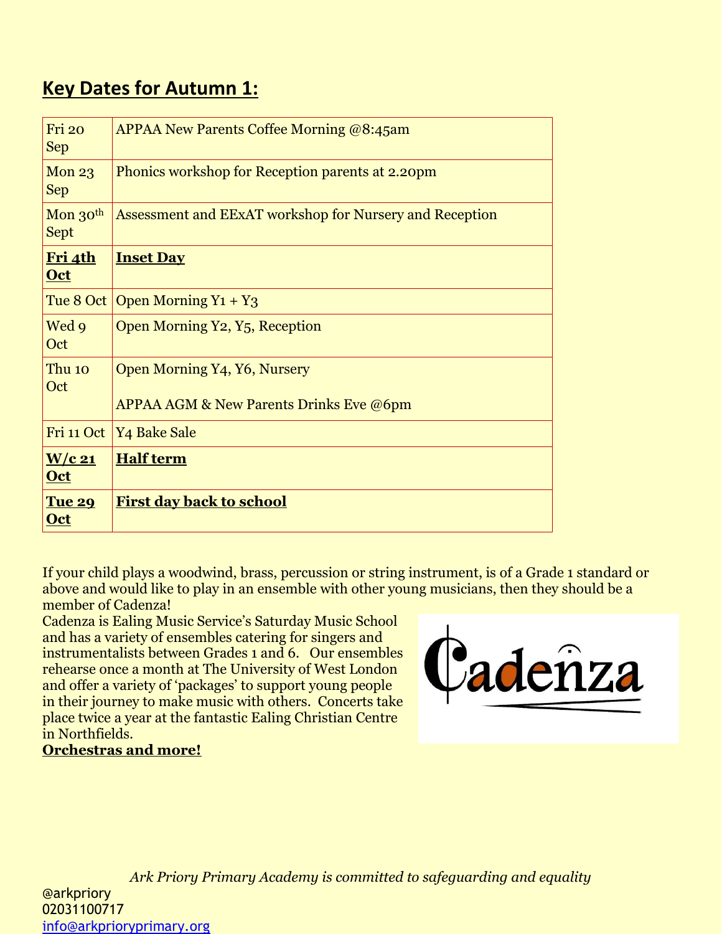## **Key Dates for Autumn 1:**

| Fri 20<br><b>Sep</b>            | <b>APPAA New Parents Coffee Morning @8:45am</b>                                    |
|---------------------------------|------------------------------------------------------------------------------------|
| Mon <sub>23</sub><br><b>Sep</b> | Phonics workshop for Reception parents at 2.20pm                                   |
| Mon 30th<br><b>Sept</b>         | Assessment and EExAT workshop for Nursery and Reception                            |
| Fri 4th<br><b>Oct</b>           | <b>Inset Day</b>                                                                   |
| Tue 8 Oct                       | Open Morning $Y_1 + Y_3$                                                           |
| Wed 9<br>Oct                    | Open Morning Y2, Y <sub>5</sub> , Reception                                        |
| Thu 10<br>Oct                   | Open Morning Y4, Y6, Nursery<br><b>APPAA AGM &amp; New Parents Drinks Eve @6pm</b> |
| Fri 11 Oct                      | Y <sub>4</sub> Bake Sale                                                           |
| $W/c$ 21<br><b>Oct</b>          | <b>Half term</b>                                                                   |
| <b>Tue 29</b><br><u>Oct</u>     | <u>First day back to school</u>                                                    |

If your child plays a woodwind, brass, percussion or string instrument, is of a Grade 1 standard or above and would like to play in an ensemble with other young musicians, then they should be a member of Cadenza!

Cadenza is Ealing Music Service's Saturday Music School and has a variety of ensembles catering for singers and instrumentalists between Grades 1 and 6. Our ensembles rehearse once a month at The University of West London and offer a variety of 'packages' to support young people in their journey to make music with others. Concerts take place twice a year at the fantastic Ealing Christian Centre in Northfields.

## **Orchestras and more!**



*Ark Priory Primary Academy is committed to safeguarding and equality*  @arkpriory 02031100717 [info@arkprioryprimary.org](mailto:info@arkprioryprimary.org)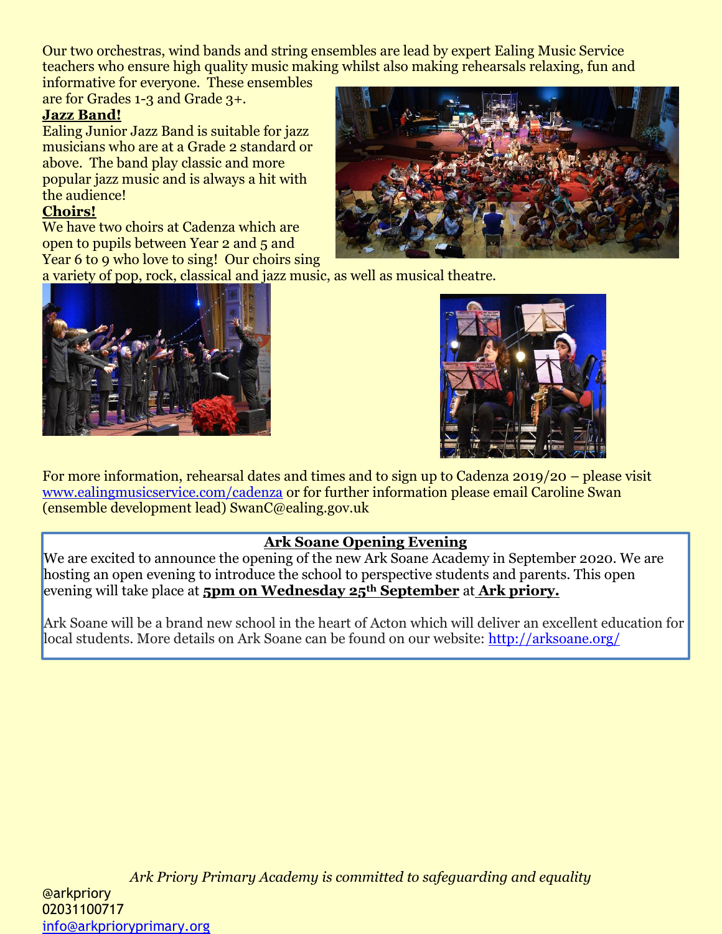Our two orchestras, wind bands and string ensembles are lead by expert Ealing Music Service teachers who ensure high quality music making whilst also making rehearsals relaxing, fun and

informative for everyone. These ensembles are for Grades 1-3 and Grade 3+.

#### **Jazz Band!**

Ealing Junior Jazz Band is suitable for jazz musicians who are at a Grade 2 standard or above. The band play classic and more popular jazz music and is always a hit with the audience!

#### **Choirs!**

We have two choirs at Cadenza which are open to pupils between Year 2 and 5 and Year 6 to 9 who love to sing! Our choirs sing



a variety of pop, rock, classical and jazz music, as well as musical theatre.





For more information, rehearsal dates and times and to sign up to Cadenza 2019/20 – please visit [www.ealingmusicservice.com/cadenza](http://www.ealingmusicservice.com/cadenza) or for further information please email Caroline Swan (ensemble development lead) SwanC@ealing.gov.uk

### **Ark Soane Opening Evening**

We are excited to announce the opening of the new Ark Soane Academy in September 2020. We are hosting an open evening to introduce the school to perspective students and parents. This open evening will take place at **5pm on Wednesday 25th September** at **Ark priory.**

Ark Soane will be a brand new school in the heart of Acton which will deliver an excellent education for local students. More details on Ark Soane can be found on our website:<http://arksoane.org/>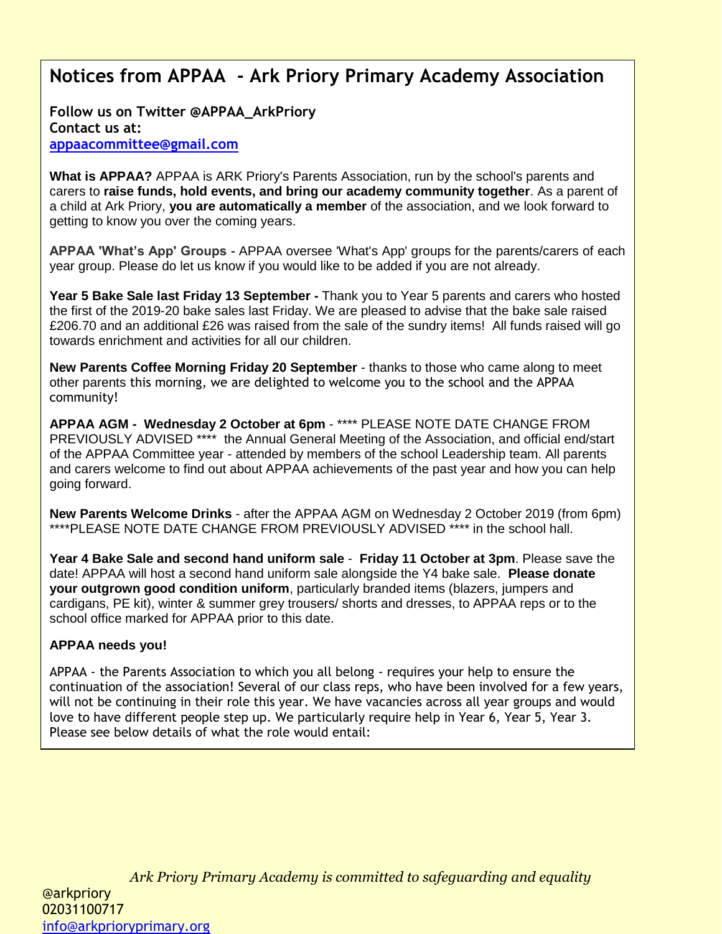## **Notices from APPAA - Ark Priory Primary Academy Association**

**Follow us on Twitter @APPAA\_ArkPriory Contact us at: [appaacommittee@gmail.com](mailto:appaacommittee@gmail.com)**

**What is APPAA?** APPAA is ARK Priory's Parents Association, run by the school's parents and carers to **raise funds, hold events, and bring our academy community together**. As a parent of a child at Ark Priory, **you are automatically a member** of the association, and we look forward to getting to know you over the coming years.

**APPAA 'What's App' Groups -** APPAA oversee 'What's App' groups for the parents/carers of each year group. Please do let us know if you would like to be added if you are not already.

**Year 5 Bake Sale last Friday 13 September -** Thank you to Year 5 parents and carers who hosted the first of the 2019-20 bake sales last Friday. We are pleased to advise that the bake sale raised £206.70 and an additional £26 was raised from the sale of the sundry items! All funds raised will go towards enrichment and activities for all our children.

**New Parents Coffee Morning Friday 20 September** - thanks to those who came along to meet other parents this morning, we are delighted to welcome you to the school and the APPAA community!

**APPAA AGM - Wednesday 2 October at 6pm** - \*\*\*\* PLEASE NOTE DATE CHANGE FROM PREVIOUSLY ADVISED \*\*\*\* the Annual General Meeting of the Association, and official end/start of the APPAA Committee year - attended by members of the school Leadership team. All parents and carers welcome to find out about APPAA achievements of the past year and how you can help going forward.

**New Parents Welcome Drinks** - after the APPAA AGM on Wednesday 2 October 2019 (from 6pm) \*\*\*\*PLEASE NOTE DATE CHANGE FROM PREVIOUSLY ADVISED \*\*\*\* in the school hall.

**Year 4 Bake Sale and second hand uniform sale** - **Friday 11 October at 3pm**. Please save the date! APPAA will host a second hand uniform sale alongside the Y4 bake sale. **Please donate your outgrown good condition uniform**, particularly branded items (blazers, jumpers and cardigans, PE kit), winter & summer grey trousers/ shorts and dresses, to APPAA reps or to the school office marked for APPAA prior to this date.

#### **APPAA needs you!**

APPAA - the Parents Association to which you all belong - requires your help to ensure the continuation of the association! Several of our class reps, who have been involved for a few years, will not be continuing in their role this year. We have vacancies across all year groups and would love to have different people step up. We particularly require help in Year 6, Year 5, Year 3. Please see below details of what the role would entail: